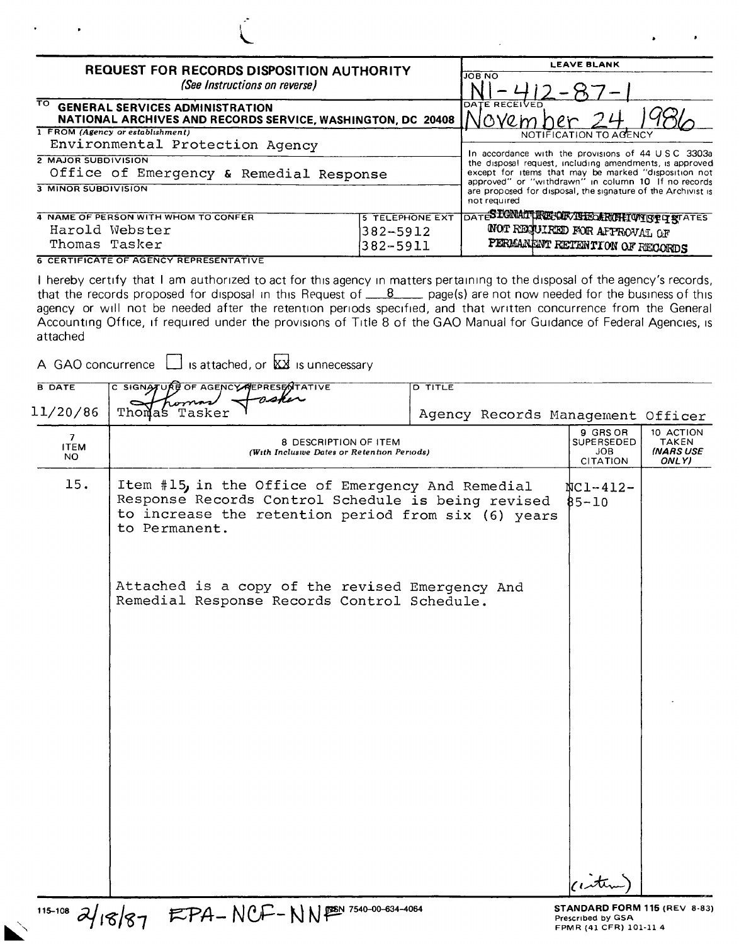| ٠                                                                                                                                 |                        |                                                                                                             |  |  |
|-----------------------------------------------------------------------------------------------------------------------------------|------------------------|-------------------------------------------------------------------------------------------------------------|--|--|
| <b>REQUEST FOR RECORDS DISPOSITION AUTHORITY</b>                                                                                  |                        | <b>LEAVE BLANK</b>                                                                                          |  |  |
| (See Instructions on reverse)                                                                                                     | <b>JOB NO</b>          |                                                                                                             |  |  |
| $\overline{\mathrm{ro}}$<br><b>GENERAL SERVICES ADMINISTRATION</b><br>NATIONAL ARCHIVES AND RECORDS SERVICE, WASHINGTON, DC 20408 | DATE RECEIVED          |                                                                                                             |  |  |
| 1 FROM (Agency or establishment)                                                                                                  |                        | NOTIFICATION TO AGENCY                                                                                      |  |  |
| Environmental Protection Agency                                                                                                   |                        | In accordance with the provisions of 44 USC 3303a                                                           |  |  |
| 2 MAJOR SUBDIVISION                                                                                                               |                        | the disposal request, including amendments, is approved                                                     |  |  |
| Office of Emergency & Remedial Response                                                                                           |                        | except for items that may be marked "disposition not<br>approved" or "withdrawn" in column 10 If no records |  |  |
| <b>3 MINOR SUBDIVISION</b>                                                                                                        |                        | are proposed for disposal, the signature of the Archivist is<br>not required                                |  |  |
| 4 NAME OF PERSON WITH WHOM TO CONFER                                                                                              | <b>5 TELEPHONE EXT</b> | DATES EGNATI RECORVEREDANCHI WIST OF STATES                                                                 |  |  |
| Harold Webster                                                                                                                    | $382 - 5912$           | WOT REQUIRED FOR AFPROVAL OF                                                                                |  |  |
| Thomas Tasker                                                                                                                     | $382 - 5911$           | PERMANENT RETENTION OF RECORDS                                                                              |  |  |
|                                                                                                                                   |                        |                                                                                                             |  |  |

6 CERTIFICATE OF AGENCY REPRESENTATIVE

I hereby certify that I am authorized to act for this agency in matters pertaining to the disposal of the agency's records, that the records proposed for disposal in this Request of  $\frac{8}{2}$  page(s) are not now needed for the business of this agency or will not be needed after the retention periods specified, and that written concurrence from the General Accounting Office, if required under the provisions of Title 8 of the GAO Manual for Guidance of Federal Agencies, is attached

A GAO concurrence  $\Box$  is attached, or  $\overline{\mathbf{X}}$  is unnecessary

| <b>B DATE</b>                        | C SIGNATURE OF AGENCY REPRESENTATIVE                                                                                                                                            | <b>D TITLE</b>                    |                                                         |                                                        |
|--------------------------------------|---------------------------------------------------------------------------------------------------------------------------------------------------------------------------------|-----------------------------------|---------------------------------------------------------|--------------------------------------------------------|
| 11/20/86                             | nsker<br>Thomas Tasker                                                                                                                                                          | Agency Records Management Officer |                                                         |                                                        |
| 7 <sup>7</sup><br><b>ITEM</b><br>NO. | 8 DESCRIPTION OF ITEM<br>(With Inclusive Dates or Retention Periods)                                                                                                            |                                   | 9 GRS OR<br><b>SUPERSEDED</b><br><b>JOB</b><br>CITATION | 10 ACTION<br><b>TAKEN</b><br><b>INARS USE</b><br>ONLY) |
| 15.                                  | Item #15, in the Office of Emergency And Remedial<br>Response Records Control Schedule is being revised<br>to increase the retention period from six (6) years<br>to Permanent. |                                   | $NCI - 412 -$<br>$85 - 10$                              |                                                        |
|                                      | Attached is a copy of the revised Emergency And<br>Remedial Response Records Control Schedule.                                                                                  |                                   |                                                         |                                                        |
|                                      |                                                                                                                                                                                 |                                   |                                                         |                                                        |
|                                      |                                                                                                                                                                                 |                                   | intern                                                  |                                                        |

 $^{115-108}$   $\frac{\partial}{\partial 188}$   $\frac{1}{87}$   $\frac{1}{87}$   $\frac{1}{4}$   $\frac{1}{87}$   $\frac{1}{4}$   $\frac{1}{87}$   $\frac{1}{101}$   $\frac{1}{4}$   $\frac{1}{2}$   $\frac{1}{2}$   $\frac{1}{2}$   $\frac{1}{2}$   $\frac{1}{2}$   $\frac{1}{2}$   $\frac{1}{2}$   $\frac{1}{2}$   $\frac{1}{2}$   $\frac{1}{2}$   $\frac{1}{2}$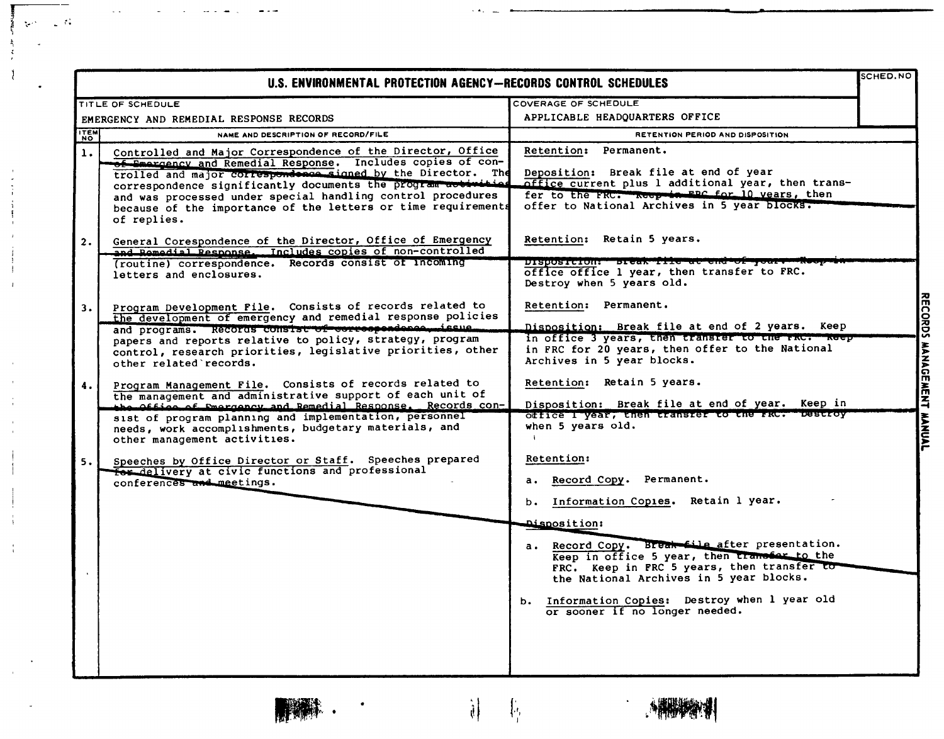| SCHED.NO<br>U.S. ENVIRONMENTAL PROTECTION AGENCY-RECORDS CONTROL SCHEDULES |                                                                                                                                                                                                                                                                                                                                                                                                            |                                                                                                                                                                                                                                                                            |                          |
|----------------------------------------------------------------------------|------------------------------------------------------------------------------------------------------------------------------------------------------------------------------------------------------------------------------------------------------------------------------------------------------------------------------------------------------------------------------------------------------------|----------------------------------------------------------------------------------------------------------------------------------------------------------------------------------------------------------------------------------------------------------------------------|--------------------------|
|                                                                            | TITLE OF SCHEDULE                                                                                                                                                                                                                                                                                                                                                                                          | COVERAGE OF SCHEDULE                                                                                                                                                                                                                                                       |                          |
|                                                                            | EMERGENCY AND REMEDIAL RESPONSE RECORDS                                                                                                                                                                                                                                                                                                                                                                    | APPLICABLE HEADQUARTERS OFFICE                                                                                                                                                                                                                                             |                          |
| <b>ITEM</b><br><b>NO</b>                                                   | NAME AND DESCRIPTION OF RECORD/FILE                                                                                                                                                                                                                                                                                                                                                                        | RETENTION PERIOD AND DISPOSITION                                                                                                                                                                                                                                           |                          |
| $\mathbf{1}$ .                                                             | Controlled and Major Correspondence of the Director, Office<br>of Emergency and Remedial Response. Includes copies of con-<br>trolled and major correspondence signed by the Director. The<br>correspondence significantly documents the program activities<br>and was processed under special handling control procedures<br>because of the importance of the letters or time requirements<br>of replies. | Retention: Permanent.<br>Deposition: Break file at end of year<br>office current plus 1 additional year, then trans-<br>fer to the FRC. Reep in EBC for 10 years, then<br>offer to National Archives in 5 year blocks.                                                     |                          |
| 2.                                                                         | General Corespondence of the Director, Office of Emergency<br>and Remedial Response. Includes copies of non-controlled<br>(routine) correspondence. Records consist of incoming<br>letters and enclosures.                                                                                                                                                                                                 | Retention: Retain 5 years.<br>DISPOSICION: DICAN IIIC aC ena Or y<br>office office 1 year, then transfer to FRC.<br>Destroy when 5 years old.                                                                                                                              |                          |
| 3.                                                                         | Program Development File. Consists of records related to<br>the development of emergency and remedial response policies<br>and programs. Records consist of correspondence issue<br>papers and reports relative to policy, strategy, program<br>control, research priorities, legislative priorities, other<br>other related records.                                                                      | Retention: Permanent.<br>Disposition: Break file at end of 2 years. Keep<br>in office 3 years, then transfer to the rac. Reep<br>in FRC for 20 years, then offer to the National<br>Archives in 5 year blocks.                                                             | <b>RECORDS</b>           |
| 4.                                                                         | Program Management File. Consists of records related to<br>the management and administrative support of each unit of<br>the Office of Pmargancy and Remedial Response. Records con-<br>sist of program planning and implementation, personnel<br>needs, work accomplishments, budgetary materials, and<br>other management activities.                                                                     | Retention: Retain 5 years.<br>Disposition: Break file at end of year. Keep in<br>office I year, then transfer to the FRC. Destroy<br>when 5 years old.                                                                                                                     | <b>MANAGEMENT MANUAL</b> |
| 5.                                                                         | Speeches by Office Director or Staff. Speeches prepared<br>for delivery at civic functions and professional<br>conferences and meetings.                                                                                                                                                                                                                                                                   | Retention:<br>a. Record Copy. Permanent.<br>Information Copies. Retain 1 year.<br><b>b.</b><br><b>Disposition:</b>                                                                                                                                                         |                          |
|                                                                            |                                                                                                                                                                                                                                                                                                                                                                                                            | a. Record Copy. Break file after presentation.<br>Keep in office 5 year, then transfer to the<br>FRC. Keep in FRC 5 years, then transfer to<br>the National Archives in 5 year blocks.<br>b. Information Copies: Destroy when 1 year old<br>or sooner if no longer needed. |                          |

 $\blacksquare$ 

 $\ddot{\phantom{1}}$ 

 $\frac{1}{2}$  at

 $-72.4$  $\mathcal{L}_{\mathcal{C}}$  .

Ŧ, Š  $\mathbf{I}$ 

 $\begin{array}{c} \mathfrak{F}^{\mathfrak{g}}_{\mathfrak{g}} \longrightarrow \mathfrak{F}^{\mathfrak{g}}_{\mathfrak{g}} \end{array}$ 

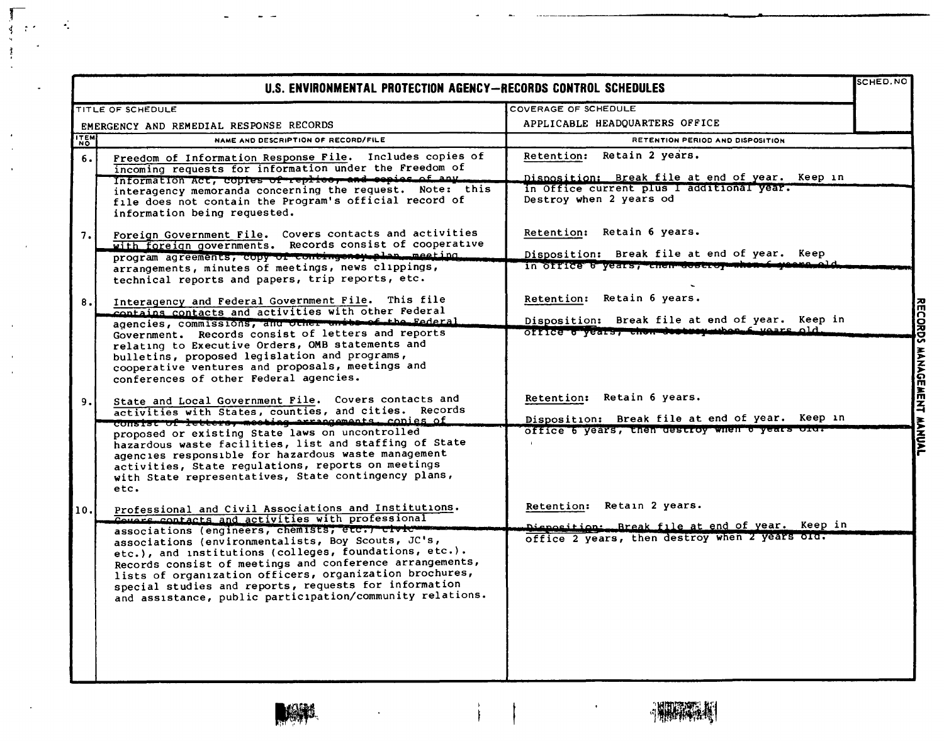| SCHED. NO<br>U.S. ENVIRONMENTAL PROTECTION AGENCY-RECORDS CONTROL SCHEDULES |                                                                                                                                                                                                                                                                                                                                                                                                                                                                                                                           |                                                                                                                                                                 |                   |  |
|-----------------------------------------------------------------------------|---------------------------------------------------------------------------------------------------------------------------------------------------------------------------------------------------------------------------------------------------------------------------------------------------------------------------------------------------------------------------------------------------------------------------------------------------------------------------------------------------------------------------|-----------------------------------------------------------------------------------------------------------------------------------------------------------------|-------------------|--|
|                                                                             | TITLE OF SCHEDULE                                                                                                                                                                                                                                                                                                                                                                                                                                                                                                         | COVERAGE OF SCHEDULE                                                                                                                                            |                   |  |
|                                                                             | EMERGENCY AND REMEDIAL RESPONSE RECORDS                                                                                                                                                                                                                                                                                                                                                                                                                                                                                   | APPLICABLE HEADQUARTERS OFFICE                                                                                                                                  |                   |  |
| <b>TEM</b>                                                                  | NAME AND DESCRIPTION OF RECORD/FILE                                                                                                                                                                                                                                                                                                                                                                                                                                                                                       | RETENTION PERIOD AND DISPOSITION                                                                                                                                |                   |  |
| 6.                                                                          | Freedom of Information Response File. Includes copies of<br>incoming requests for information under the Freedom of<br>Information Act, copies of replice, and espies of any<br>interagency memoranda concerning the request. Note: this<br>file does not contain the Program's official record of<br>information being requested.                                                                                                                                                                                         | Retain 2 years.<br><b>Retention:</b><br>Disposition: Break file at end of year. Keep in<br>in Office current plus I additional year.<br>Destroy when 2 years od |                   |  |
| 7.                                                                          | Foreign Government File. Covers contacts and activities<br>with foreign governments. Records consist of cooperative<br>program agreements, copy of contingency plan, meeting.<br>arrangements, minutes of meetings, news clippings,<br>technical reports and papers, trip reports, etc.                                                                                                                                                                                                                                   | Retention: Retain 6 years.<br>Disposition: Break file at end of year. Keep<br>in office b years, chen deseroy when                                              |                   |  |
| 8.                                                                          | Interagency and Federal Government File. This file<br>contains contacts and activities with other Federal<br>agencies, commissions, and other units of the Federal<br>Government. Records consist of letters and reports<br>relating to Executive Orders, OMB statements and<br>bulletins, proposed legislation and programs,<br>cooperative ventures and proposals, meetings and<br>conferences of other Federal agencies.                                                                                               | Retention: Retain 6 years.<br>Disposition: Break file at end of year. Keep in<br>office o years, chormosososymuhon f wears old.                                 | <b>RECORDS</b>    |  |
| 9.                                                                          | State and Local Government File. Covers contacts and<br>activities with States, counties, and cities. Records<br>consist of letters, meeting arrangements, conies of<br>proposed or existing State laws on uncontrolled<br>hazardous waste facilities, list and staffing of State<br>agencies responsible for hazardous waste management<br>activities, State regulations, reports on meetings<br>with State representatives, State contingency plans,<br>etc.                                                            | Retention: Retain 6 years.<br>Disposition: Break file at end of year. Keep in<br>office 6 years, then destroy when 6 years old.                                 | MANAGEMENT MANUAL |  |
| 10.1                                                                        | Professional and Civil Associations and Institutions.<br>Covers contacts and activities with professional<br>associations (engineers, chemists, etc.) civic-<br>associations (environmentalists, Boy Scouts, JC's,<br>etc.), and institutions (colleges, foundations, etc.).<br>Records consist of meetings and conference arrangements,<br>lists of organization officers, organization brochures,<br>special studies and reports, requests for information<br>and assistance, public participation/community relations. | Retention: Retain 2 years.<br>Dieposition: Break file at end of year. Keep in<br>office 2 years, then destroy when 2 years old.                                 |                   |  |

 $\rightarrow$ 

 $\mathbf{r}$ 



سد

r Articles

 $\frac{3}{2}$ 

 $\ddot{\phantom{1}}$ 

 $\cdot$ 

 $\bar{a}$ 

J, ÷.  $\mathcal{L}$ 

 $\bullet$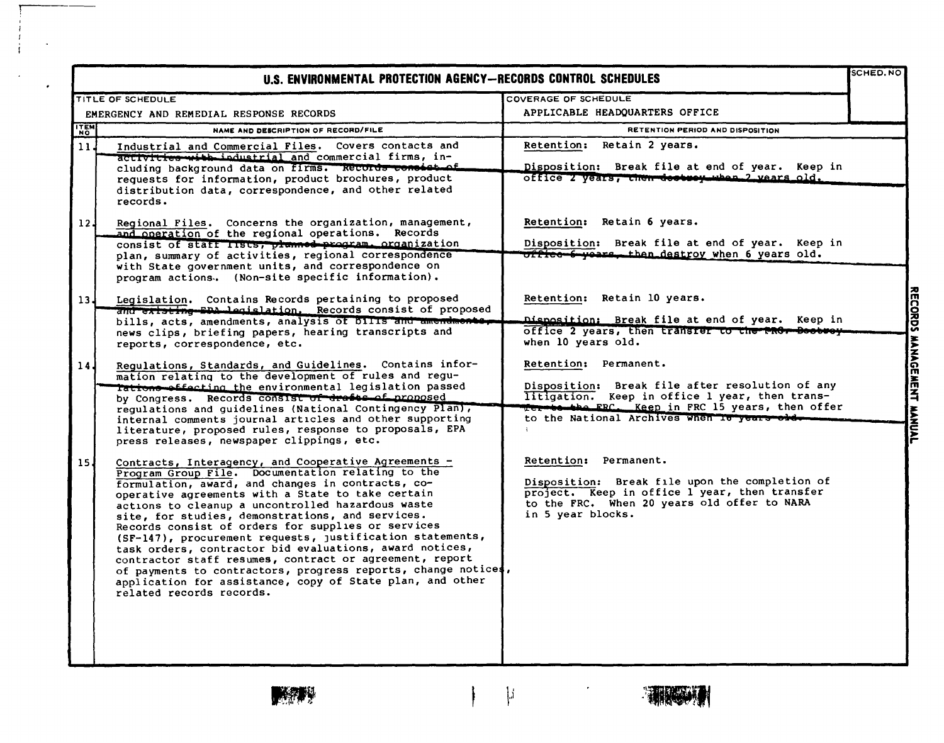|                 | U.S. ENVIRONMENTAL PROTECTION AGENCY-RECORDS CONTROL SCHEDULES                                                                                                                                                                                                                                                                                                                                                                                                                                                                                                                                                                                                                                                                  |                                                                                                                                                                                                                               | SCHED. NO                |
|-----------------|---------------------------------------------------------------------------------------------------------------------------------------------------------------------------------------------------------------------------------------------------------------------------------------------------------------------------------------------------------------------------------------------------------------------------------------------------------------------------------------------------------------------------------------------------------------------------------------------------------------------------------------------------------------------------------------------------------------------------------|-------------------------------------------------------------------------------------------------------------------------------------------------------------------------------------------------------------------------------|--------------------------|
|                 | <b>TITLE OF SCHEDULE</b>                                                                                                                                                                                                                                                                                                                                                                                                                                                                                                                                                                                                                                                                                                        | COVERAGE OF SCHEDULE                                                                                                                                                                                                          |                          |
|                 | EMERGENCY AND REMEDIAL RESPONSE RECORDS                                                                                                                                                                                                                                                                                                                                                                                                                                                                                                                                                                                                                                                                                         | APPLICABLE HEADQUARTERS OFFICE                                                                                                                                                                                                |                          |
| <b>ITEM</b>     | NAME AND DESCRIPTION OF RECORD/FILE                                                                                                                                                                                                                                                                                                                                                                                                                                                                                                                                                                                                                                                                                             | <b>RETENTION PERIOD AND DISPOSITION</b>                                                                                                                                                                                       |                          |
| 11.             | Industrial and Commercial Files. Covers contacts and<br>activities with industrial and commercial firms, in-<br>cluding background data on firms. Records consistent<br>requests for information, product brochures, product<br>distribution data, correspondence, and other related<br>records.                                                                                                                                                                                                                                                                                                                                                                                                                                | Retention: Retain 2 years.<br>Disposition: Break file at end of year. Keep in<br>office 2 years, then destroy when 2 vears old.                                                                                               |                          |
| 12 <sub>1</sub> | Regional Files. Concerns the organization, management,<br>and operation of the regional operations. Records<br>consist of staff lists, planned program. organization<br>plan, summary of activities, regional correspondence<br>with State government units, and correspondence on<br>program actions. (Non-site specific information).                                                                                                                                                                                                                                                                                                                                                                                         | Retention: Retain 6 years.<br>Disposition: Break file at end of year. Keep in<br>office 6 years, then destroy when 6 years old.                                                                                               |                          |
| 13 <sub>4</sub> | Legislation. Contains Records pertaining to proposed<br>and existing EDA legislation. Records consist of proposed<br>bills, acts, amendments, analysis of bills and amend<br>news clips, briefing papers, hearing transcripts and<br>reports, correspondence, etc.                                                                                                                                                                                                                                                                                                                                                                                                                                                              | Retention: Retain 10 years.<br><u> Disposition: Break file at end of year. Keep in</u><br>office 2 years, then transfer to the PROr Boobwey<br>when 10 years old.                                                             |                          |
| 14 <sub>1</sub> | Regulations, Standards, and Guidelines. Contains infor-<br>mation relating to the development of rules and regu-<br>Tations effecting the environmental legislation passed<br>by Congress. Records consist of drafts of proposed<br>requlations and guidelines (National Contingency Plan),<br>internal comments journal articles and other supporting<br>literature, proposed rules, response to proposals, EPA<br>press releases, newspaper clippings, etc.                                                                                                                                                                                                                                                                   | Retention: Permanent.<br>Disposition: Break file after resolution of any<br>litigation. Keep in office 1 year, then trans-<br>Ter to the FRC. Keep in FRC 15 years, then offer<br>to the National Archives when To years old- | RECORDS MANGEMENT MANUAL |
| 15 <sub>1</sub> | Contracts, Interagency, and Cooperative Agreements -<br>Program Group File. Documentation relating to the<br>formulation, award, and changes in contracts, co-<br>operative agreements with a State to take certain<br>actions to cleanup a uncontrolled hazardous waste<br>site, for studies, demonstrations, and services.<br>Records consist of orders for supplies or services<br>(SF-147), procurement requests, justification statements,<br>task orders, contractor bid evaluations, award notices,<br>contractor staff resumes, contract or agreement, report<br>of payments to contractors, progress reports, change notices,<br>application for assistance, copy of State plan, and other<br>related records records. | Retention: Permanent.<br>Disposition: Break file upon the completion of<br>project. Keep in office l year, then transfer<br>to the FRC. When 20 years old offer to NARA<br>in 5 year blocks.                                  |                          |

 $\left| \mathbf{j} \right|$ 

 $\frac{1}{2}$ 

 $\overline{\phantom{a}}$ 

 $\overline{\phantom{a}}$ 

 $\bullet$ 

**TANGER**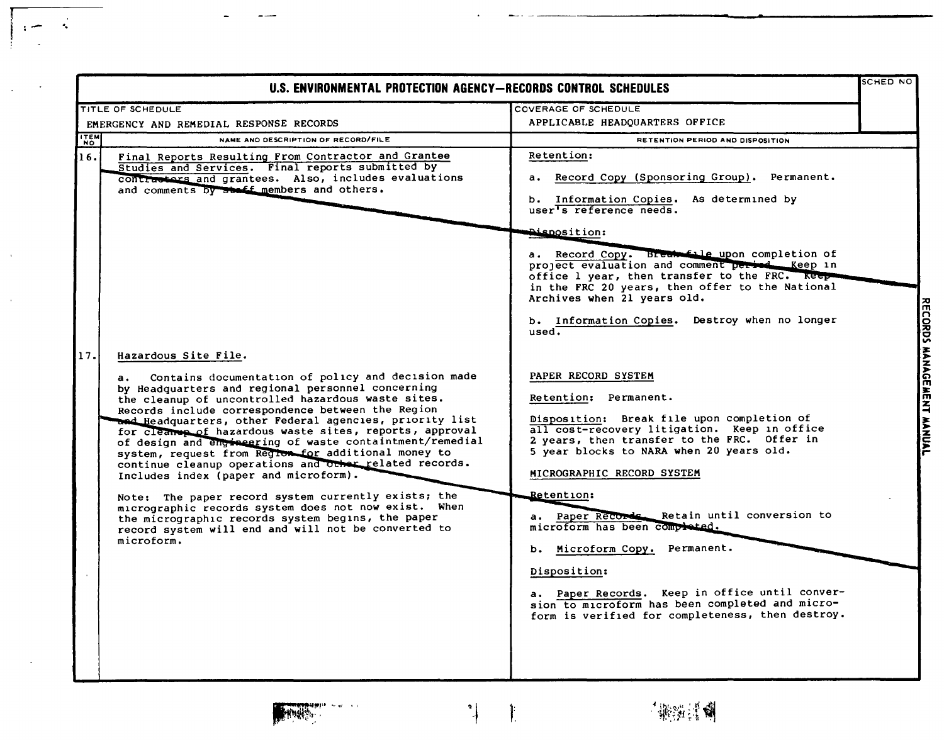| U.S. ENVIRONMENTAL PROTECTION AGENCY-RECORDS CONTROL SCHEDULES |                                                                                                                                                                                                                                                                                                                                                                                                                                                                                                                                                                                                                                                                                                                                                                                                                                       |                                                                                                                                                                                                                                                                                                                                                                                                                                                                                                                                                                                                                                     | SCHED NO                  |
|----------------------------------------------------------------|---------------------------------------------------------------------------------------------------------------------------------------------------------------------------------------------------------------------------------------------------------------------------------------------------------------------------------------------------------------------------------------------------------------------------------------------------------------------------------------------------------------------------------------------------------------------------------------------------------------------------------------------------------------------------------------------------------------------------------------------------------------------------------------------------------------------------------------|-------------------------------------------------------------------------------------------------------------------------------------------------------------------------------------------------------------------------------------------------------------------------------------------------------------------------------------------------------------------------------------------------------------------------------------------------------------------------------------------------------------------------------------------------------------------------------------------------------------------------------------|---------------------------|
|                                                                | TITLE OF SCHEDULE                                                                                                                                                                                                                                                                                                                                                                                                                                                                                                                                                                                                                                                                                                                                                                                                                     | COVERAGE OF SCHEDULE                                                                                                                                                                                                                                                                                                                                                                                                                                                                                                                                                                                                                |                           |
| EMERGENCY AND REMEDIAL RESPONSE RECORDS                        |                                                                                                                                                                                                                                                                                                                                                                                                                                                                                                                                                                                                                                                                                                                                                                                                                                       | APPLICABLE HEADOUARTERS OFFICE                                                                                                                                                                                                                                                                                                                                                                                                                                                                                                                                                                                                      |                           |
| ITEM                                                           | NAME AND DESCRIPTION OF RECORD/FILE                                                                                                                                                                                                                                                                                                                                                                                                                                                                                                                                                                                                                                                                                                                                                                                                   | RETENTION PERIOD AND DISPOSITION                                                                                                                                                                                                                                                                                                                                                                                                                                                                                                                                                                                                    |                           |
| 16.                                                            | Final Reports Resulting From Contractor and Grantee<br>Studies and Services. Final reports submitted by<br>contractors and grantees. Also, includes evaluations<br>and comments by staff members and others.                                                                                                                                                                                                                                                                                                                                                                                                                                                                                                                                                                                                                          | Retention:<br>a. Record Copy (Sponsoring Group). Permanent.<br>b. Information Copies. As determined by<br>user's reference needs.<br><b>Aisposition:</b><br>a. Record Copy. Break file upon completion of<br>project evaluation and comment period __ Keep in<br>office 1 year, then transfer to the FRC. Keep-<br>in the FRC 20 years, then offer to the National<br>Archives when 21 years old.                                                                                                                                                                                                                                   |                           |
| 17.                                                            | Hazardous Site File.<br>Contains documentation of policy and decision made<br>а.<br>by Headquarters and regional personnel concerning<br>the cleanup of uncontrolled hazardous waste sites.<br>Records include correspondence between the Region<br>and Headquarters, other Federal agencies, priority list<br>for cleaner of hazardous waste sites, reports, approval<br>of design and engineering of waste containtment/remedial<br>system, request from Region for additional money to<br>continue cleanup operations and other related records.<br>Includes index (paper and microform).<br>Note: The paper record system currently exists; the<br>micrographic records system does not now exist. When<br>the micrographic records system begins, the paper<br>record system will end and will not be converted to<br>microform. | b. Information Copies. Destroy when no longer<br>used.<br>PAPER RECORD SYSTEM<br>Retention: Permanent.<br>Disposition: Break file upon completion of<br>all cost-recovery litigation. Keep in office<br>2 years, then transfer to the FRC. Offer in<br>5 year blocks to NARA when 20 years old.<br>MICROGRAPHIC RECORD SYSTEM<br>Retention:<br>Paper Records. Retain until conversion to<br>microform has been completed.<br>b. Microform Copy. Permanent.<br>Disposition:<br>a. Paper Records. Keep in office until conver-<br>sion to microform has been completed and micro-<br>form is verified for completeness, then destroy. | RECORDS MANAGEMENT MANUAL |



 $\sim$ 

 $- - -$ 

 $\sim$ 

 $\frac{1}{2}$ 

 $\cdot$  :  $-$ 

 $\ddot{\phantom{a}}$ 

 $\bar{u}$ 

 $\mathcal{A}^{\mathcal{A}}$ 

 $\sim$ 

 $\sim 100$ 

 $\parallel$ 

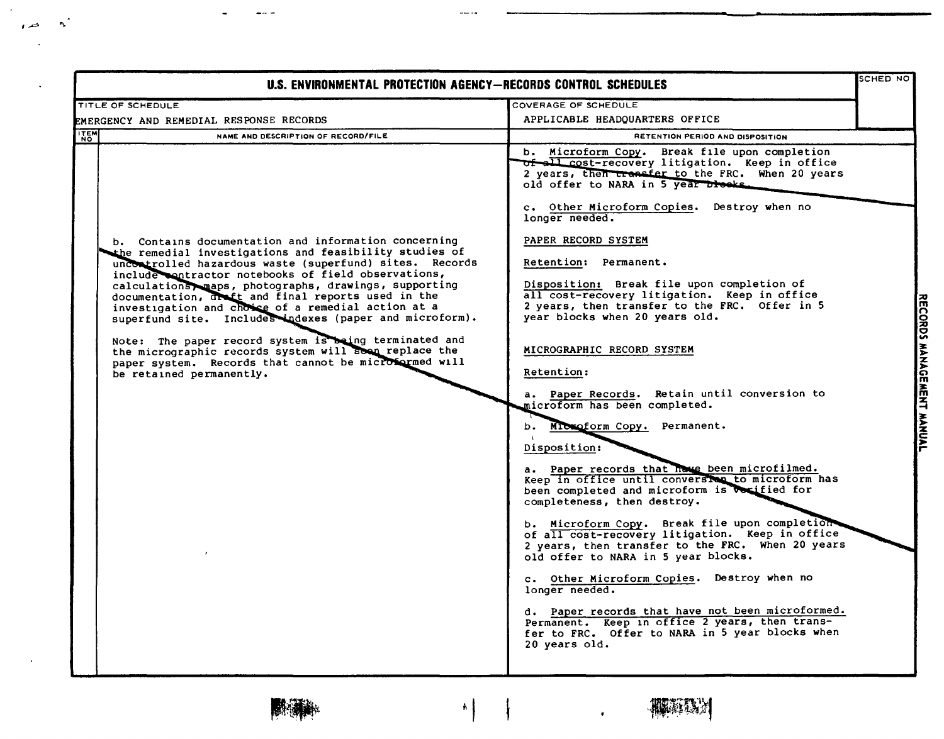| U.S. ENVIRONMENTAL PROTECTION AGENCY-RECORDS CONTROL SCHEDULES                                                                                                                                                                                                                                                                                                                                                                                                                                                                                                                                                                                                         |                                                                                                                                                                                                                                                                                                                                                                                                                                                                                                                                                                                                                                                                                                                                                                                                                                                                                                                                                                                                                                                                                                                                                                                                                                                                                                                  |                                            |  |
|------------------------------------------------------------------------------------------------------------------------------------------------------------------------------------------------------------------------------------------------------------------------------------------------------------------------------------------------------------------------------------------------------------------------------------------------------------------------------------------------------------------------------------------------------------------------------------------------------------------------------------------------------------------------|------------------------------------------------------------------------------------------------------------------------------------------------------------------------------------------------------------------------------------------------------------------------------------------------------------------------------------------------------------------------------------------------------------------------------------------------------------------------------------------------------------------------------------------------------------------------------------------------------------------------------------------------------------------------------------------------------------------------------------------------------------------------------------------------------------------------------------------------------------------------------------------------------------------------------------------------------------------------------------------------------------------------------------------------------------------------------------------------------------------------------------------------------------------------------------------------------------------------------------------------------------------------------------------------------------------|--------------------------------------------|--|
| TITLE OF SCHEDULE                                                                                                                                                                                                                                                                                                                                                                                                                                                                                                                                                                                                                                                      | COVERAGE OF SCHEDULE                                                                                                                                                                                                                                                                                                                                                                                                                                                                                                                                                                                                                                                                                                                                                                                                                                                                                                                                                                                                                                                                                                                                                                                                                                                                                             |                                            |  |
| EMERGENCY AND REMEDIAL RESPONSE RECORDS                                                                                                                                                                                                                                                                                                                                                                                                                                                                                                                                                                                                                                | APPLICABLE HEADQUARTERS OFFICE                                                                                                                                                                                                                                                                                                                                                                                                                                                                                                                                                                                                                                                                                                                                                                                                                                                                                                                                                                                                                                                                                                                                                                                                                                                                                   |                                            |  |
| <b>ITEM</b><br>NAME AND DESCRIPTION OF RECORD/FILE                                                                                                                                                                                                                                                                                                                                                                                                                                                                                                                                                                                                                     | RETENTION PERIOD AND DISPOSITION                                                                                                                                                                                                                                                                                                                                                                                                                                                                                                                                                                                                                                                                                                                                                                                                                                                                                                                                                                                                                                                                                                                                                                                                                                                                                 |                                            |  |
| b. Contains documentation and information concerning<br>the remedial investigations and feasibility studies of<br>uncontrolled hazardous waste (superfund) sites. Records<br>include contractor notebooks of field observations,<br>calculations maps, photographs, drawings, supporting<br>documentation, drett and final reports used in the<br>investigation and choice of a remedial action at a<br>superfund site. Includes indexes (paper and microform).<br>Note: The paper record system is being terminated and<br>the micrographic records system will soon replace the<br>paper system. Records that cannot be microformed will<br>be retained permanently. | b. Microform Copy.<br>Break file upon completion<br>of all cost-recovery litigation. Keep in office<br>2 years, then transfer to the FRC. When 20 years<br>old offer to NARA in 5 year blocks.<br>c. Other Microform Copies. Destroy when no<br>longer needed.<br>PAPER RECORD SYSTEM<br>Retention: Permanent.<br>Disposition: Break file upon completion of<br>all cost-recovery litigation. Keep in office<br>2 years, then transfer to the FRC. Offer in 5<br>year blocks when 20 years old.<br>MICROGRAPHIC RECORD SYSTEM<br><b>Retention:</b><br>a. Paper Records. Retain until conversion to<br>microform has been completed.<br>b. Microform Copy. Permanent.<br>Disposition:<br>a. Paper records that have been microfilmed.<br>Keep in office until conversion to microform has<br>been completed and microform is vorified for<br>completeness, then destroy.<br>b. Microform Copy. Break file upon completion<br>of all cost-recovery litigation. Keep in office<br>2 years, then transfer to the FRC. When 20 years<br>old offer to NARA in 5 year blocks.<br>c. Other Microform Copies. Destroy when no<br>longer needed.<br>d. Paper records that have not been microformed.<br>Permanent. Keep in office 2 years, then trans-<br>fer to FRC. Offer to NARA in 5 year blocks when<br>20 years old. | 쥬<br><b>CORDS</b><br>MANAGE<br>MENT MANUAL |  |

 $\left| \cdot \right|$ 

 $\downarrow$ 



أسابيتها

 $\mathbf{A}^{\prime}$ 

 $\rightarrow$ 

 $\bullet$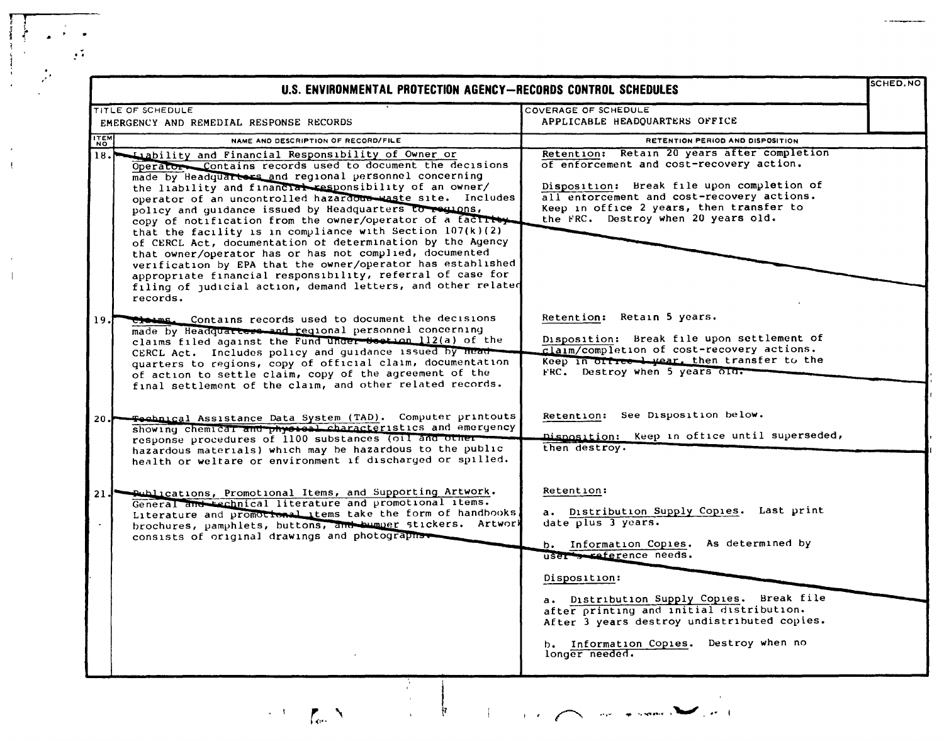|                           | U.S. ENVIRONMENTAL PROTECTION AGENCY-RECORDS CONTROL SCHEDULES                                                                                                                                                                                                                                                                                                                                                                                                                            |                                                                                                                                                                                                                                                                                                                                                     |
|---------------------------|-------------------------------------------------------------------------------------------------------------------------------------------------------------------------------------------------------------------------------------------------------------------------------------------------------------------------------------------------------------------------------------------------------------------------------------------------------------------------------------------|-----------------------------------------------------------------------------------------------------------------------------------------------------------------------------------------------------------------------------------------------------------------------------------------------------------------------------------------------------|
|                           | TITLE OF SCHEDULE<br>EMERGENCY AND REMEDIAL RESPONSE RECORDS                                                                                                                                                                                                                                                                                                                                                                                                                              | COVERAGE OF SCHEDULE<br>APPLICABLE HEADQUARTERS OFFICE                                                                                                                                                                                                                                                                                              |
| <b>ITEN</b>               | NAME AND DESCRIPTION OF RECORD/FILE                                                                                                                                                                                                                                                                                                                                                                                                                                                       | RETENTION PERIOD AND DISPOSITION                                                                                                                                                                                                                                                                                                                    |
|                           | 18. Liability and Financial Responsibility of Owner or<br>Operator Contains records used to document the decisions<br>made by Headquarters and regional personnel concerning<br>the liability and financial responsibility of an owner/<br>operator of an uncontrolled hazardous waste site. Includes<br>policy and guidance issued by Headquarters to regions,<br>copy of notification from the owner/operator of a factive<br>that the facility is in compliance with Section 107(k)(2) | Retention: Retain 20 years after completion<br>of enforcement and cost-recovery action.<br>Disposition: Break file upon completion of<br>all entorcement and cost-recovery actions.<br>Keep in office 2 years, then transfer to<br>the FRC. Destroy when 20 years old.                                                                              |
|                           | of CERCL Act, documentation of determination by the Agency<br>that owner/operator has or has not complied, documented<br>verification by EPA that the owner/operator has established<br>appropriate financial responsibility, referral of case for<br>filing of judicial action, demand letters, and other related<br>records.                                                                                                                                                            |                                                                                                                                                                                                                                                                                                                                                     |
| 19.J                      | Closes. Contains records used to document the decisions<br>made by Headquarters and regional personnel concerning<br>claims filed against the Fund under Section 112(a) of the<br>CERCL Act. Includes policy and guidance issued by head-<br>quarters to regions, copy of official claim, documentation<br>of action to settle claim, copy of the agreement of the<br>final settlement of the claim, and other related records.                                                           | Retention: Retain 5 years.<br>Disposition: Break file upon settlement of<br>claim/completion of cost-recovery actions.<br>Keep in office lyear, then transfer to the<br>FRC. Destroy when 5 years old.                                                                                                                                              |
| 20. $\blacktriangleright$ | <b>Feebnical Assistance Data System (TAD).</b> Computer printouts<br>showing chemical and physical characteristics and emergency<br>response procedures of 1100 substances (oil and other-<br>hazardous materials) which may be hazardous to the public<br>health or weltare or environment if discharged or spilled.                                                                                                                                                                     | Retention: See Disposition below.<br>Disposition: Keep in office until superseded,<br>then destroy.                                                                                                                                                                                                                                                 |
| $21 J^{\bullet}$          | publications, Promotional Items, and Supporting Artwork.<br>General and technical literature and promotional items.<br>Literature and promotional items take the form of handbooks<br>brochures, pamphlets, buttons, and bumper stickers. Artwork<br>consists of original drawings and photographs                                                                                                                                                                                        | Retention:<br>a. Distribution Supply Copies. Last print<br>date plus 3 years.<br>b. Information Copies. As determined by<br>user seference needs.<br>Disposition:<br>a. Distribution Supply Copies. Break file<br>after printing and initial distribution.<br>After 3 years destroy undistributed copies.<br>b. Information Copies. Destroy when no |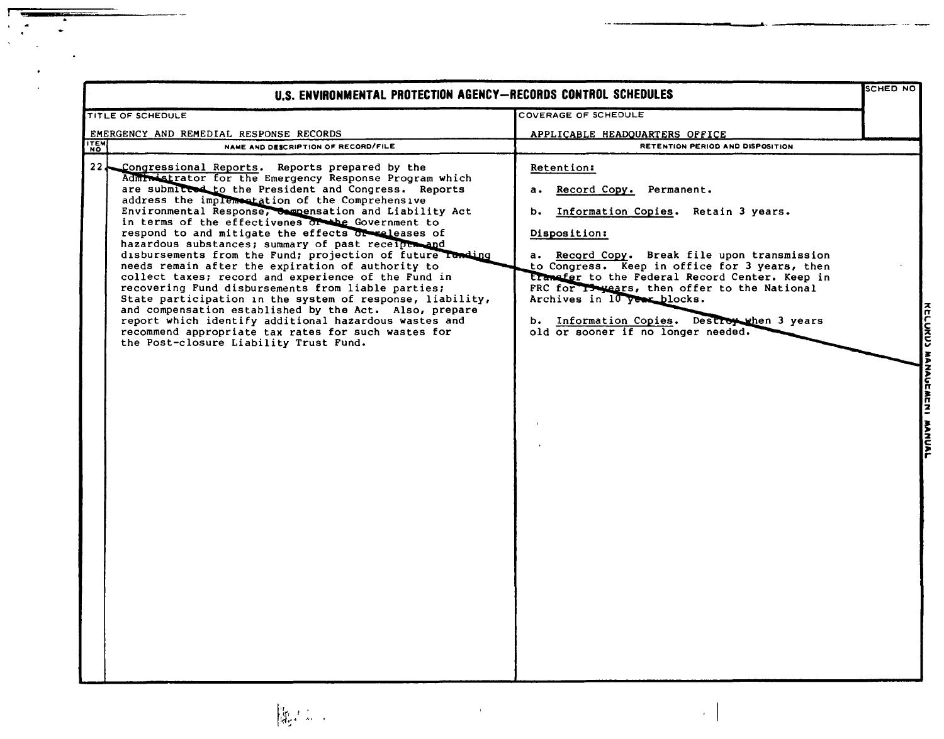| U.S. ENVIRONMENTAL PROTECTION AGENCY-RECORDS CONTROL SCHEDULES                                                                                                                                                                                                                                                                                                                                                                                                                                                                                                                                                                                                                                                                                                                                                                                                                                                                                                    |                                                                                                                                                                                                                                                                                                                                                                                                                           |  |
|-------------------------------------------------------------------------------------------------------------------------------------------------------------------------------------------------------------------------------------------------------------------------------------------------------------------------------------------------------------------------------------------------------------------------------------------------------------------------------------------------------------------------------------------------------------------------------------------------------------------------------------------------------------------------------------------------------------------------------------------------------------------------------------------------------------------------------------------------------------------------------------------------------------------------------------------------------------------|---------------------------------------------------------------------------------------------------------------------------------------------------------------------------------------------------------------------------------------------------------------------------------------------------------------------------------------------------------------------------------------------------------------------------|--|
| TITLE OF SCHEDULE                                                                                                                                                                                                                                                                                                                                                                                                                                                                                                                                                                                                                                                                                                                                                                                                                                                                                                                                                 | COVERAGE OF SCHEDULE                                                                                                                                                                                                                                                                                                                                                                                                      |  |
| EMERGENCY AND REMEDIAL RESPONSE RECORDS                                                                                                                                                                                                                                                                                                                                                                                                                                                                                                                                                                                                                                                                                                                                                                                                                                                                                                                           | APPLICABLE HEADQUARTERS OFFICE                                                                                                                                                                                                                                                                                                                                                                                            |  |
| <b>ITEM</b><br>NAME AND DESCRIPTION OF RECORD/FILE                                                                                                                                                                                                                                                                                                                                                                                                                                                                                                                                                                                                                                                                                                                                                                                                                                                                                                                | RETENTION PERIOD AND DISPOSITION                                                                                                                                                                                                                                                                                                                                                                                          |  |
| 22 Congressional Reports. Reports prepared by the<br>Admin strator for the Emergency Response Program which<br>are submitted to the President and Congress. Reports<br>address the implementation of the Comprehensive<br>Environmental Response, Compensation and Liability Act<br>in terms of the effectivenes or the Government to<br>respond to and mitigate the effects or releases of<br>hazardous substances; summary of past receipts and<br>disbursements from the Fund; projection of future randing<br>needs remain after the expiration of authority to<br>collect taxes; record and experience of the Fund in<br>recovering Fund disbursements from liable parties;<br>State participation in the system of response, liability,<br>and compensation established by the Act. Also, prepare<br>report which identify additional hazardous wastes and<br>recommend appropriate tax rates for such wastes for<br>the Post-closure Liability Trust Fund. | Retention:<br>a. Record Copy. Permanent.<br>b. Information Copies. Retain 3 years.<br>Disposition:<br>a. Record Copy. Break file upon transmission<br>to Congress. Keep in office for 3 years, then<br>transfer to the Federal Record Center. Keep in<br>FRC for IS years, then offer to the National<br>Archives in 10 year blocks.<br>b. Information Copies. Destroy when 3 years<br>old or sooner if no longer needed. |  |

 $\frac{1}{\sqrt{2}}$ 

 $\overline{r}$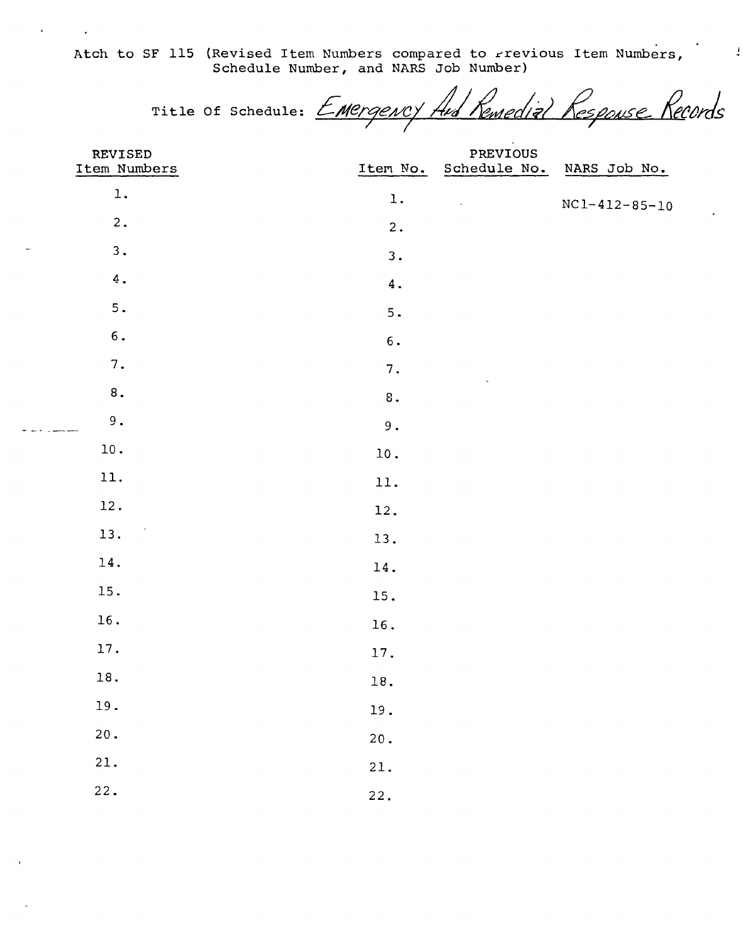Atch to SF 115 (Revised Item Numbers compared to rrevious Item Numbers, Schedule Number, and NARS Job Number)

Title of Schedule: EMErgency And Remedial Response Records

 $\frac{1}{4}$ 

| REVISED                     |                    | $\sim$ $\sim$<br>PREVIOUS |                       |
|-----------------------------|--------------------|---------------------------|-----------------------|
| Item Numbers                | Item No.           | Schedule No.              | NARS Job No.          |
| $\mathbf 1$ .               | $\mathbf 1$ .      | $\bar{\mathcal{A}}$       | $NC1 - 412 - 85 - 10$ |
| $2$ .                       | $2$ .              |                           |                       |
| 3.<br>$\tilde{\phantom{a}}$ | 3.                 |                           |                       |
| 4.                          | $\boldsymbol{4}$ . |                           |                       |
| 5.                          | 5.                 |                           |                       |
| $\mathbf 6$ .               | $\mathbf 6$ .      |                           |                       |
| $7$ .                       | $7$ .              | $\ddot{\phantom{0}}$      |                       |
| $\bf 8$ .                   | $\bf 8$ .          |                           |                       |
| $9$ .<br>مستحسن والع        | $9$ .              |                           |                       |
| $10$ .                      | $10$ .             |                           |                       |
| 11.                         | 11.                |                           |                       |
| 12.                         | 12.                |                           |                       |
| 13.                         | 13.                |                           |                       |
| 14.                         | $14$ .             |                           |                       |
| 15.                         | 15.                |                           |                       |
| 16.                         | 16.                |                           |                       |
| 17.                         | 17.                |                           |                       |
| 18.                         | $18. \,$           |                           |                       |
| 19.                         | 19.                |                           |                       |
| $20$ .                      | $20$ .             |                           |                       |
| 21.                         | 21.                |                           |                       |
| 22.                         | 22.                |                           |                       |